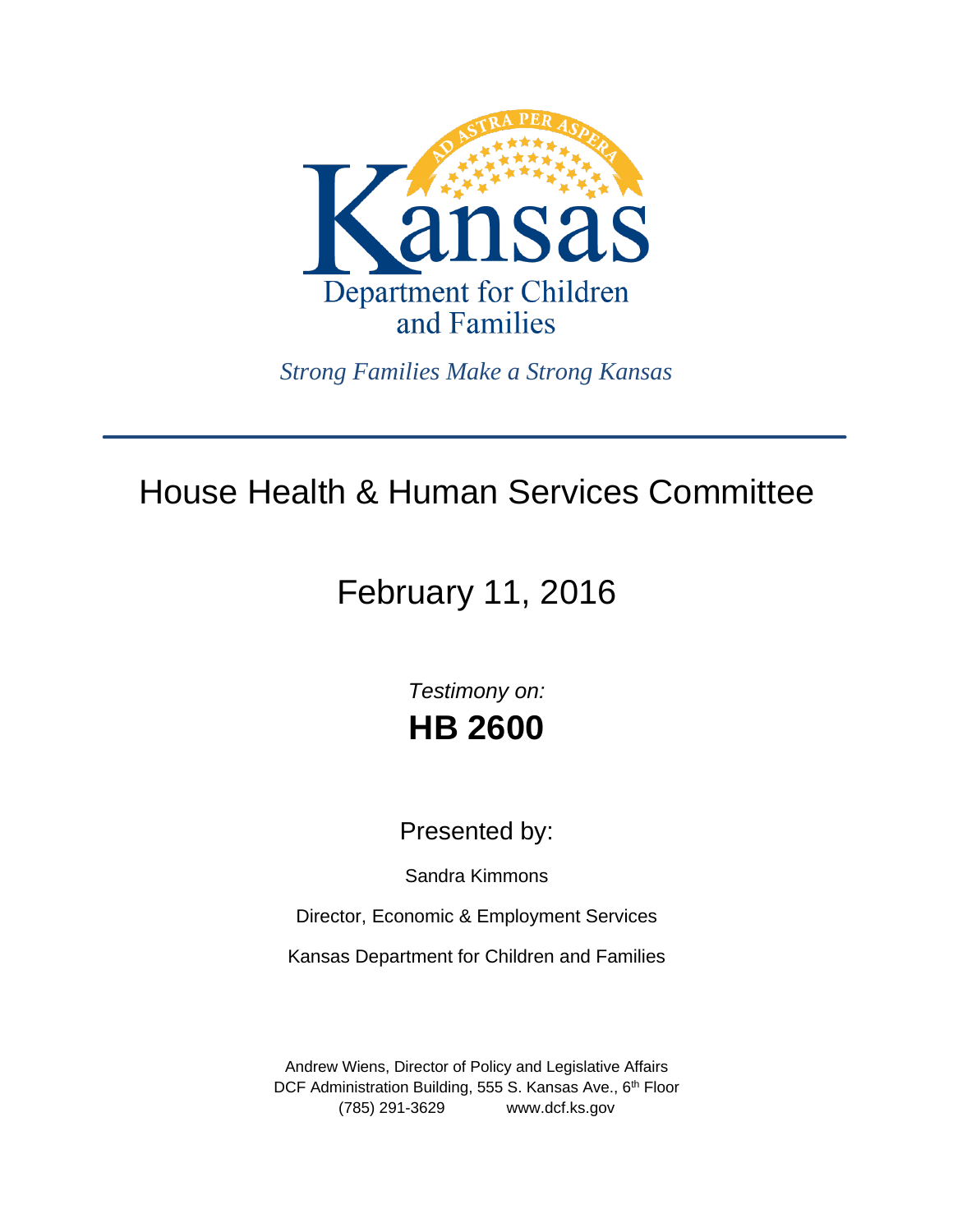

*Strong Families Make a Strong Kansas*

## House Health & Human Services Committee

# February 11, 2016

*Testimony on:* **HB 2600**

Presented by:

Sandra Kimmons

Director, Economic & Employment Services

Kansas Department for Children and Families

Andrew Wiens, Director of Policy and Legislative Affairs DCF Administration Building, 555 S. Kansas Ave., 6<sup>th</sup> Floor (785) 291-3629 www.dcf.ks.gov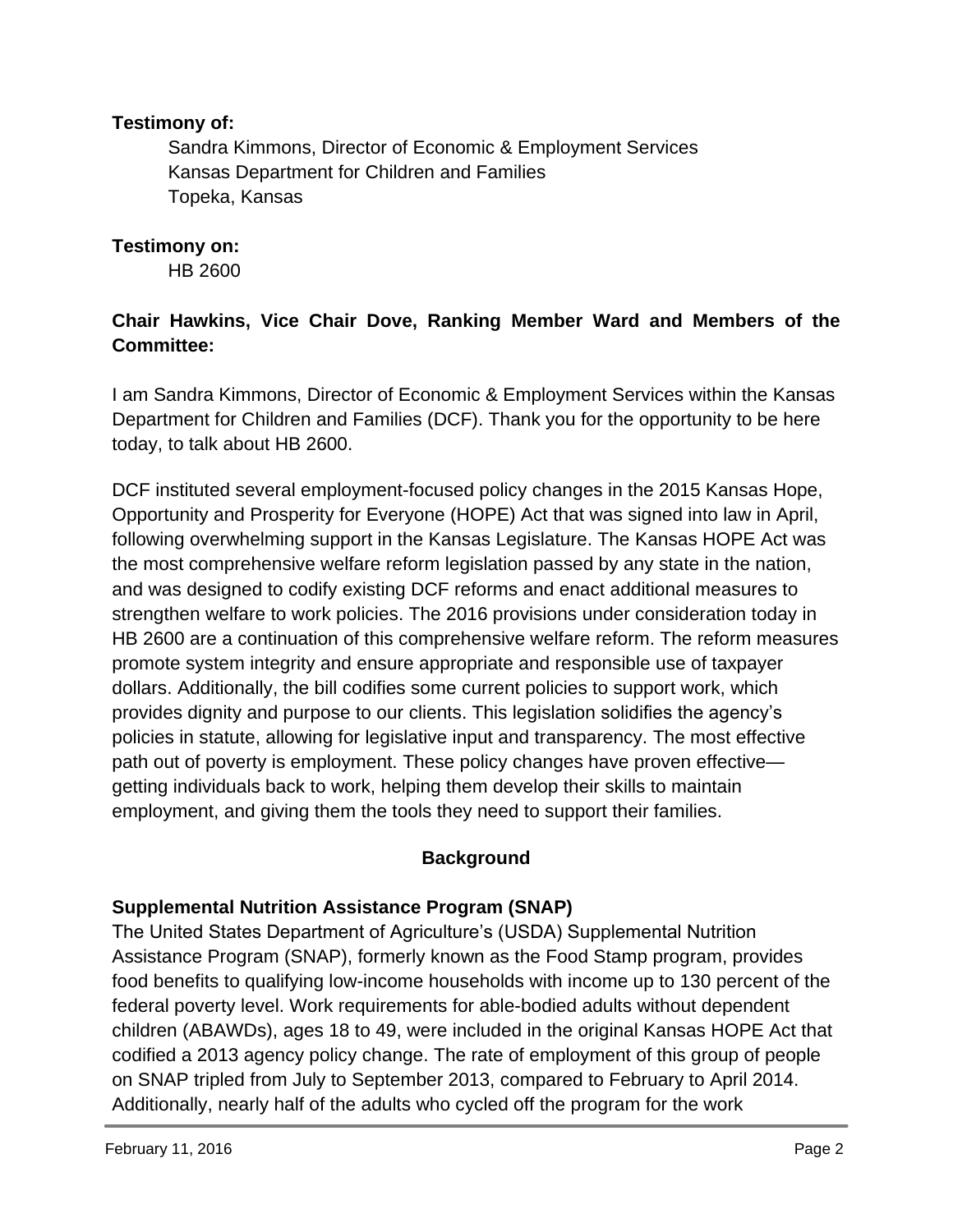#### **Testimony of:**

 Sandra Kimmons, Director of Economic & Employment Services Kansas Department for Children and Families Topeka, Kansas

#### **Testimony on:**

HB 2600

## **Chair Hawkins, Vice Chair Dove, Ranking Member Ward and Members of the Committee:**

I am Sandra Kimmons, Director of Economic & Employment Services within the Kansas Department for Children and Families (DCF). Thank you for the opportunity to be here today, to talk about HB 2600.

DCF instituted several employment-focused policy changes in the 2015 Kansas Hope, Opportunity and Prosperity for Everyone (HOPE) Act that was signed into law in April, following overwhelming support in the Kansas Legislature. The Kansas HOPE Act was the most comprehensive welfare reform legislation passed by any state in the nation, and was designed to codify existing DCF reforms and enact additional measures to strengthen welfare to work policies. The 2016 provisions under consideration today in HB 2600 are a continuation of this comprehensive welfare reform. The reform measures promote system integrity and ensure appropriate and responsible use of taxpayer dollars. Additionally, the bill codifies some current policies to support work, which provides dignity and purpose to our clients. This legislation solidifies the agency's policies in statute, allowing for legislative input and transparency. The most effective path out of poverty is employment. These policy changes have proven effective getting individuals back to work, helping them develop their skills to maintain employment, and giving them the tools they need to support their families.

## **Background**

## **Supplemental Nutrition Assistance Program (SNAP)**

The United States Department of Agriculture's (USDA) Supplemental Nutrition Assistance Program (SNAP), formerly known as the Food Stamp program, provides food benefits to qualifying low-income households with income up to 130 percent of the federal poverty level. Work requirements for able-bodied adults without dependent children (ABAWDs), ages 18 to 49, were included in the original Kansas HOPE Act that codified a 2013 agency policy change. The rate of employment of this group of people on SNAP tripled from July to September 2013, compared to February to April 2014. Additionally, nearly half of the adults who cycled off the program for the work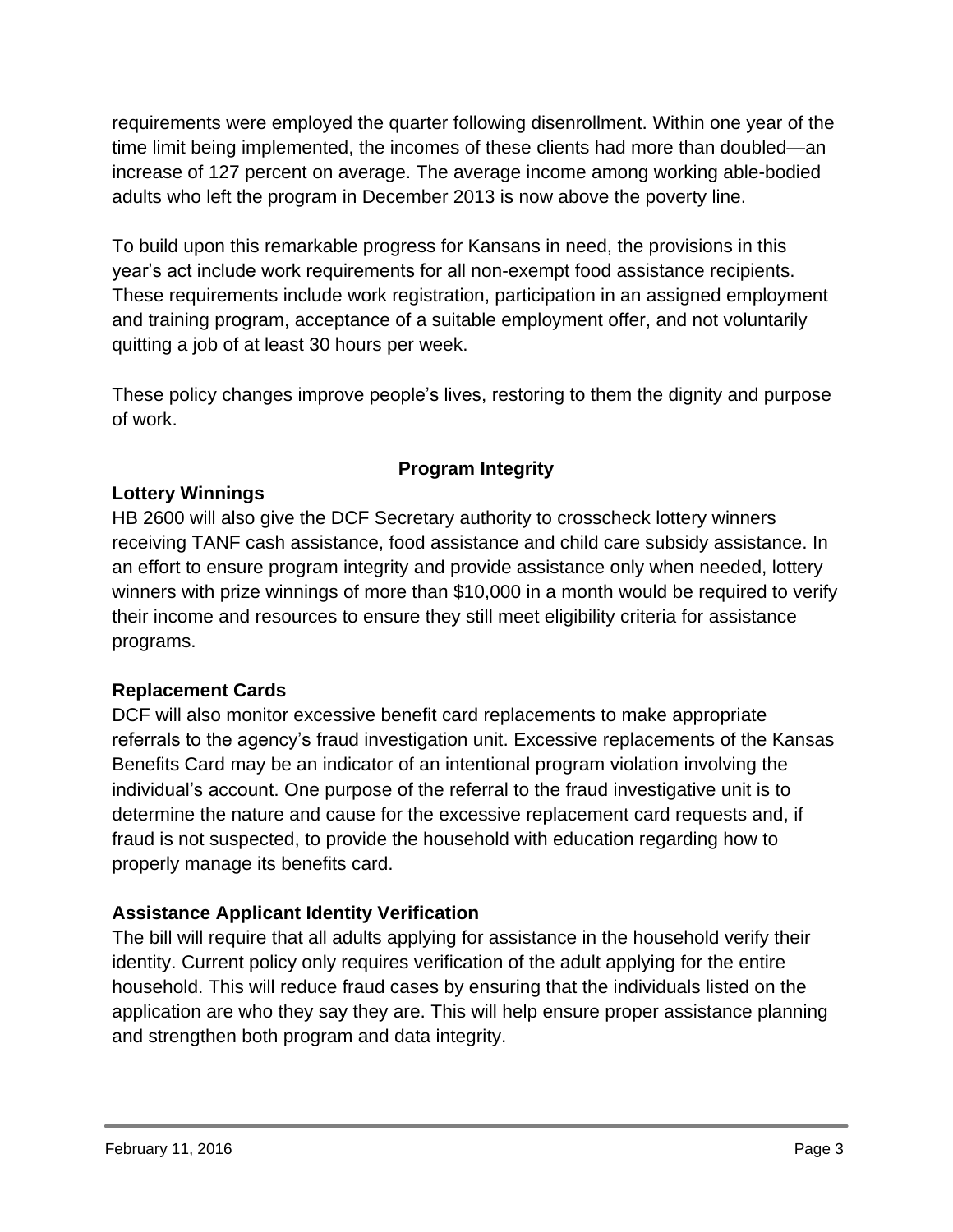requirements were employed the quarter following disenrollment. Within one year of the time limit being implemented, the incomes of these clients had more than doubled—an increase of 127 percent on average. The average income among working able-bodied adults who left the program in December 2013 is now above the poverty line.

To build upon this remarkable progress for Kansans in need, the provisions in this year's act include work requirements for all non-exempt food assistance recipients. These requirements include work registration, participation in an assigned employment and training program, acceptance of a suitable employment offer, and not voluntarily quitting a job of at least 30 hours per week.

These policy changes improve people's lives, restoring to them the dignity and purpose of work.

## **Program Integrity**

## **Lottery Winnings**

HB 2600 will also give the DCF Secretary authority to crosscheck lottery winners receiving TANF cash assistance, food assistance and child care subsidy assistance. In an effort to ensure program integrity and provide assistance only when needed, lottery winners with prize winnings of more than \$10,000 in a month would be required to verify their income and resources to ensure they still meet eligibility criteria for assistance programs.

## **Replacement Cards**

DCF will also monitor excessive benefit card replacements to make appropriate referrals to the agency's fraud investigation unit. Excessive replacements of the Kansas Benefits Card may be an indicator of an intentional program violation involving the individual's account. One purpose of the referral to the fraud investigative unit is to determine the nature and cause for the excessive replacement card requests and, if fraud is not suspected, to provide the household with education regarding how to properly manage its benefits card.

## **Assistance Applicant Identity Verification**

The bill will require that all adults applying for assistance in the household verify their identity. Current policy only requires verification of the adult applying for the entire household. This will reduce fraud cases by ensuring that the individuals listed on the application are who they say they are. This will help ensure proper assistance planning and strengthen both program and data integrity.